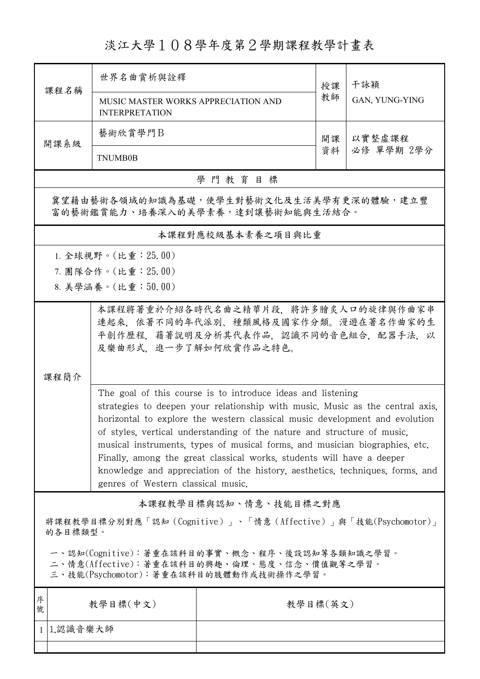## 淡江大學108學年度第2學期課程教學計畫表

| 課程名稱                                                                                                                                                                                                                                                                                                                                                                                                                                                                                                                                                                                  | 世界名曲賞析與詮釋                                                                                                                                  |          | 授課 | 干詠穎                  |  |  |  |
|---------------------------------------------------------------------------------------------------------------------------------------------------------------------------------------------------------------------------------------------------------------------------------------------------------------------------------------------------------------------------------------------------------------------------------------------------------------------------------------------------------------------------------------------------------------------------------------|--------------------------------------------------------------------------------------------------------------------------------------------|----------|----|----------------------|--|--|--|
|                                                                                                                                                                                                                                                                                                                                                                                                                                                                                                                                                                                       | MUSIC MASTER WORKS APPRECIATION AND<br><b>INTERPRETATION</b>                                                                               |          | 教師 | GAN, YUNG-YING       |  |  |  |
| 開課系級                                                                                                                                                                                                                                                                                                                                                                                                                                                                                                                                                                                  | 藝術欣賞學門B                                                                                                                                    | 開課       |    | 以實整虛課程<br>必修 單學期 2學分 |  |  |  |
|                                                                                                                                                                                                                                                                                                                                                                                                                                                                                                                                                                                       | <b>TNUMB0B</b>                                                                                                                             |          | 資料 |                      |  |  |  |
| 學門教育目標                                                                                                                                                                                                                                                                                                                                                                                                                                                                                                                                                                                |                                                                                                                                            |          |    |                      |  |  |  |
| 冀望藉由藝術各領域的知識為基礎,使學生對藝術文化及生活美學有更深的體驗,建立豐<br>富的藝術鑑賞能力、培養深入的美學素養,達到讓藝術知能與生活結合。                                                                                                                                                                                                                                                                                                                                                                                                                                                                                                           |                                                                                                                                            |          |    |                      |  |  |  |
| 本課程對應校級基本素養之項目與比重                                                                                                                                                                                                                                                                                                                                                                                                                                                                                                                                                                     |                                                                                                                                            |          |    |                      |  |  |  |
|                                                                                                                                                                                                                                                                                                                                                                                                                                                                                                                                                                                       | 1. 全球視野。(比重:25.00)                                                                                                                         |          |    |                      |  |  |  |
|                                                                                                                                                                                                                                                                                                                                                                                                                                                                                                                                                                                       | 7. 團隊合作。(比重: 25.00)                                                                                                                        |          |    |                      |  |  |  |
|                                                                                                                                                                                                                                                                                                                                                                                                                                                                                                                                                                                       | 8. 美學涵養。(比重:50.00)                                                                                                                         |          |    |                      |  |  |  |
|                                                                                                                                                                                                                                                                                                                                                                                                                                                                                                                                                                                       | 本課程將著重於介紹各時代名曲之精華片段,將許多膾炙人口的旋律與作曲家串<br>連起來,依著不同的年代派別、種類風格及國家作分類。漫遊在著名作曲家的生<br>平創作歷程,藉著說明及分析其代表作品,認識不同的音色組合,配器手法,以<br>及樂曲形式,進一步了解如何欣賞作品之特色。 |          |    |                      |  |  |  |
| 課程簡介                                                                                                                                                                                                                                                                                                                                                                                                                                                                                                                                                                                  |                                                                                                                                            |          |    |                      |  |  |  |
| The goal of this course is to introduce ideas and listening<br>strategies to deepen your relationship with music. Music as the central axis,<br>horizontal to explore the western classical music development and evolution<br>of styles, vertical understanding of the nature and structure of music,<br>musical instruments, types of musical forms, and musician biographies, etc.<br>Finally, among the great classical works, students will have a deeper<br>knowledge and appreciation of the history, aesthetics, techniques, forms, and<br>genres of Western classical music. |                                                                                                                                            |          |    |                      |  |  |  |
| 本課程教學目標與認知、情意、技能目標之對應                                                                                                                                                                                                                                                                                                                                                                                                                                                                                                                                                                 |                                                                                                                                            |          |    |                      |  |  |  |
| 將課程教學目標分別對應「認知 (Cognitive)」、「情意 (Affective)」與「技能(Psychomotor)」<br>的各目標類型。                                                                                                                                                                                                                                                                                                                                                                                                                                                                                                             |                                                                                                                                            |          |    |                      |  |  |  |
| 一、認知(Cognitive):著重在該科目的事實、概念、程序、後設認知等各類知識之學習。<br>二、情意(Affective):著重在該科目的興趣、倫理、態度、信念、價值觀等之學習。<br>三、技能(Psychomotor):著重在該科目的肢體動作或技術操作之學習。                                                                                                                                                                                                                                                                                                                                                                                                                                                |                                                                                                                                            |          |    |                      |  |  |  |
| 序<br>號                                                                                                                                                                                                                                                                                                                                                                                                                                                                                                                                                                                | 教學目標(中文)                                                                                                                                   | 教學目標(英文) |    |                      |  |  |  |
| 1 1.認識音樂大師                                                                                                                                                                                                                                                                                                                                                                                                                                                                                                                                                                            |                                                                                                                                            |          |    |                      |  |  |  |
|                                                                                                                                                                                                                                                                                                                                                                                                                                                                                                                                                                                       |                                                                                                                                            |          |    |                      |  |  |  |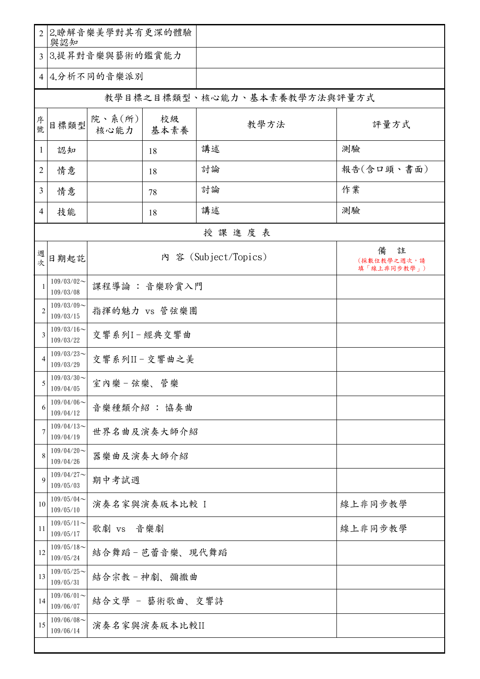| $\overline{2}$ | 2.瞭解音樂美學對其有更深的體驗<br>與認知    |                                                              |            |      |                              |  |  |
|----------------|----------------------------|--------------------------------------------------------------|------------|------|------------------------------|--|--|
| $\overline{3}$ | 3.提昇對音樂與藝術的鑑賞能力            |                                                              |            |      |                              |  |  |
|                | 4 4.分析不同的音樂派別              |                                                              |            |      |                              |  |  |
|                |                            |                                                              |            |      | 教學目標之目標類型、核心能力、基本素養教學方法與評量方式 |  |  |
| 序號             | 目標類型                       | 院、系 $(\kappa)$<br>核心能力                                       | 校級<br>基本素養 | 教學方法 | 評量方式                         |  |  |
| 1              | 認知                         |                                                              | 18         | 講述   | 測驗                           |  |  |
| $\mathbf{2}$   | 情意                         |                                                              | 18         | 討論   | 報告(含口頭、書面)                   |  |  |
| $\overline{3}$ | 情意                         |                                                              | 78         | 討論   | 作業                           |  |  |
| 4              | 技能                         |                                                              | 18         | 講述   | 測驗                           |  |  |
|                | 授課進度表                      |                                                              |            |      |                              |  |  |
| 週<br>次         | 日期起訖                       | 註<br>備<br>内 容 (Subject/Topics)<br>(採數位教學之週次,請<br>填「線上非同步教學」) |            |      |                              |  |  |
| $\mathbf{1}$   | $109/03/02$ ~<br>109/03/08 | 課程導論:音樂聆賞入門                                                  |            |      |                              |  |  |
| $\overline{2}$ | $109/03/09$ ~<br>109/03/15 | 指揮的魅力 vs 管弦樂團                                                |            |      |                              |  |  |
| 3              | $109/03/16$ ~<br>109/03/22 | 交響系列I-經典交響曲                                                  |            |      |                              |  |  |
| $\overline{4}$ | $109/03/23$ ~<br>109/03/29 | 交響系列II-交響曲之美                                                 |            |      |                              |  |  |
| 5              | $109/03/30$ ~<br>109/04/05 | 室内樂-弦樂、管樂                                                    |            |      |                              |  |  |
| 6              | $109/04/06$ ~<br>109/04/12 | 音樂種類介紹: 協奏曲                                                  |            |      |                              |  |  |
| $\overline{7}$ | $109/04/13$ ~<br>109/04/19 | 世界名曲及演奏大師介紹                                                  |            |      |                              |  |  |
| 8              | $109/04/20$ ~<br>109/04/26 | 器樂曲及演奏大師介紹                                                   |            |      |                              |  |  |
| 9              | $109/04/27$ ~<br>109/05/03 | 期中考試週                                                        |            |      |                              |  |  |
| 10             | $109/05/04$ ~<br>109/05/10 | 演奏名家與演奏版本比較 I<br>線上非同步教學                                     |            |      |                              |  |  |
| 11             | $109/05/11$ ~<br>109/05/17 | 歌劇 vs 音樂劇<br>線上非同步教學                                         |            |      |                              |  |  |
| 12             | $109/05/18$ ~<br>109/05/24 | 結合舞蹈-芭蕾音樂、現代舞蹈                                               |            |      |                              |  |  |
| 13             | $109/05/25$ ~<br>109/05/31 | 結合宗教-神劇、彌撒曲                                                  |            |      |                              |  |  |
| 14             | $109/06/01$ ~<br>109/06/07 | 結合文學 - 藝術歌曲、交響詩                                              |            |      |                              |  |  |
| 15             | $109/06/08$ ~<br>109/06/14 | 演奏名家與演奏版本比較II                                                |            |      |                              |  |  |
|                |                            |                                                              |            |      |                              |  |  |